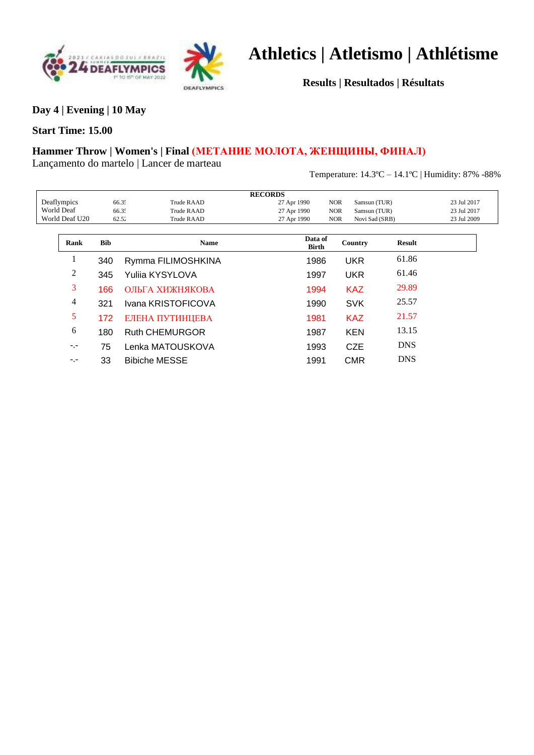



**Results | Resultados | Résultats**

**Day 4 | Evening | 10 May**

### **Start Time: 15.00**

### **Hammer Throw | Women's | Final (МЕТАНИЕ МОЛОТА, ЖЕНЩИНЫ, ФИНАЛ)**

Lançamento do martelo | Lancer de marteau

Temperature: 14.3ºC – 14.1ºC | Humidity: 87% -88%

|                |       |                     | <b>RECORDS</b>          |            |                |               |             |  |
|----------------|-------|---------------------|-------------------------|------------|----------------|---------------|-------------|--|
| Deaflympics    | 66.35 | Trude RAAD          | 27 Apr 1990             | <b>NOR</b> | Samsun (TUR)   |               | 23 Jul 2017 |  |
| World Deaf     |       | 66.35<br>Trude RAAD | 27 Apr 1990             | <b>NOR</b> | Samsun (TUR)   |               | 23 Jul 2017 |  |
| World Deaf U20 | 62.52 | Trude RAAD          | 27 Apr 1990             | <b>NOR</b> | Novi Sad (SRB) |               | 23 Jul 2009 |  |
|                |       |                     |                         |            |                |               |             |  |
| Rank           | Bib   | <b>Name</b>         | Data of<br><b>Birth</b> |            | Country        | <b>Result</b> |             |  |
|                | 340   | Rymma FILIMOSHKINA  | 1986                    |            | UKR            | 61.86         |             |  |

|      | 345 | Yulija KYSYLOVA       | 1997 | UKR        | 61.46      |
|------|-----|-----------------------|------|------------|------------|
| 3    | 166 | ОЛЬГА ХИЖНЯКОВА       | 1994 | <b>KAZ</b> | 29.89      |
| 4    | 321 | Ivana KRISTOFICOVA    | 1990 | <b>SVK</b> | 25.57      |
| 5    | 172 | ЕЛЕНА ПУТИНЦЕВА       | 1981 | <b>KAZ</b> | 21.57      |
| 6    | 180 | <b>Ruth CHEMURGOR</b> | 1987 | <b>KEN</b> | 13.15      |
| $-1$ | 75  | Lenka MATOUSKOVA      | 1993 | <b>CZE</b> | <b>DNS</b> |
| $-1$ | 33  | <b>Bibiche MESSE</b>  | 1991 | CMR        | <b>DNS</b> |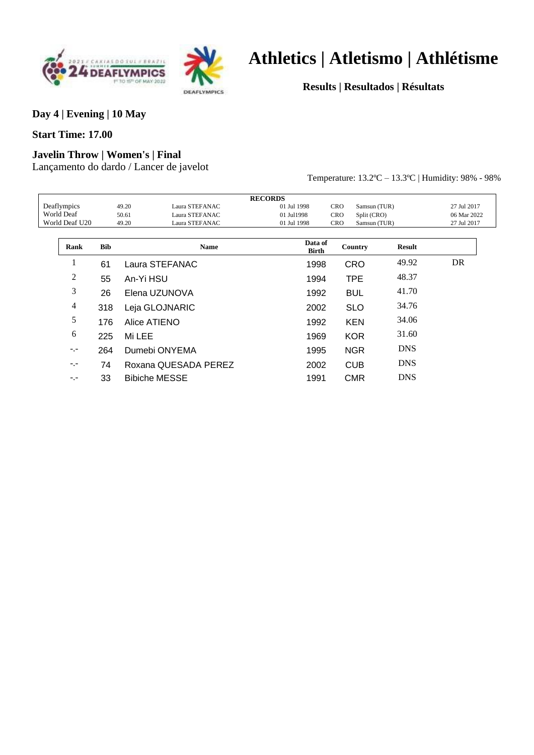



**Results | Resultados | Résultats**

#### **Day 4 | Evening | 10 May**

#### **Start Time: 17.00**

### **Javelin Throw | Women's | Final**

Lançamento do dardo / Lancer de javelot

Temperature: 13.2ºC – 13.3ºC | Humidity: 98% - 98%

|                   |             |            | <b>RECORDS</b>          |                  |                            |               |             |
|-------------------|-------------|------------|-------------------------|------------------|----------------------------|---------------|-------------|
|                   | Deaflympics |            | 49.20<br>Laura STEFANAC | 01 Jul 1998      | <b>CRO</b><br>Samsun (TUR) |               | 27 Jul 2017 |
| <b>World Deaf</b> |             |            | Laura STEFANAC<br>50.61 | 01 Jul1998       | <b>CRO</b><br>Split (CRO)  |               | 06 Mar 2022 |
| World Deaf U20    |             |            | Laura STEFANAC<br>49.20 | 01 Jul 1998      | <b>CRO</b><br>Samsun (TUR) |               | 27 Jul 2017 |
|                   |             |            |                         |                  |                            |               |             |
|                   | Rank        | <b>Bib</b> | <b>Name</b>             | Data of<br>Birth | Country                    | <b>Result</b> |             |
|                   |             | 61         | Laura STEFANAC          | 1998             | <b>CRO</b>                 | 49.92         | DR          |
|                   | 2           | 55         | An-Yi HSU               | 1994             | <b>TPE</b>                 | 48.37         |             |
|                   | 3           | 26         | Elena UZUNOVA           | 1992             | <b>BUL</b>                 | 41.70         |             |
|                   | 4           | 318        | Leja GLOJNARIC          | 2002             | <b>SLO</b>                 | 34.76         |             |
|                   | 5           | 176        | Alice ATIENO            | 1992             | <b>KEN</b>                 | 34.06         |             |
|                   | 6           | 225        | Mi LEE                  | 1969             | <b>KOR</b>                 | 31.60         |             |
|                   | $-1$        | 264        | Dumebi ONYEMA           | 1995             | <b>NGR</b>                 | <b>DNS</b>    |             |
|                   | $-1$        | 74         | Roxana QUESADA PEREZ    | 2002             | <b>CUB</b>                 | <b>DNS</b>    |             |
|                   | -.-         | 33         | <b>Bibiche MESSE</b>    | 1991             | <b>CMR</b>                 | <b>DNS</b>    |             |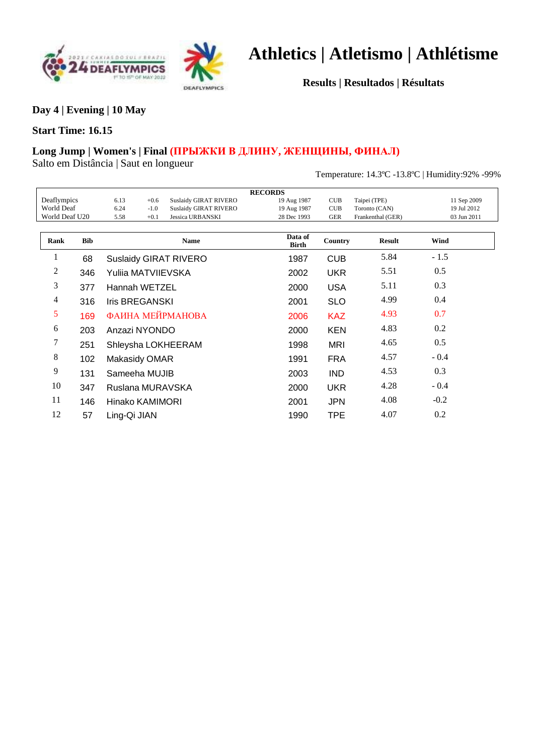



**Results | Resultados | Résultats**

**Day 4 | Evening | 10 May**

#### **Start Time: 16.15**

### **Long Jump | Women's | Final (ПРЫЖКИ В ДЛИНУ, ЖЕНЩИНЫ, ФИНАЛ)**

Salto em Distância | Saut en longueur

Temperature: 14.3ºC -13.8ºC | Humidity:92% -99%

|                   |            |                    |        |                              | <b>RECORDS</b>          |            |                   |             |
|-------------------|------------|--------------------|--------|------------------------------|-------------------------|------------|-------------------|-------------|
| Deaflympics       |            | 6.13               | $+0.6$ | <b>Suslaidy GIRAT RIVERO</b> | 19 Aug 1987             | <b>CUB</b> | Taipei (TPE)      | 11 Sep 2009 |
| <b>World Deaf</b> |            | 6.24               | $-1.0$ | <b>Suslaidy GIRAT RIVERO</b> | 19 Aug 1987             | CUB        | Toronto (CAN)     | 19 Jul 2012 |
| World Deaf U20    |            | 5.58               | $+0.1$ | <b>Jessica URBANSKI</b>      | 28 Dec 1993             | <b>GER</b> | Frankenthal (GER) | 03 Jun 2011 |
|                   |            |                    |        |                              |                         |            |                   |             |
| Rank              | <b>Bib</b> |                    |        | <b>Name</b>                  | Data of<br><b>Birth</b> | Country    | <b>Result</b>     | Wind        |
|                   | 68         |                    |        | <b>Suslaidy GIRAT RIVERO</b> | 1987                    | <b>CUB</b> | 5.84              | $-1.5$      |
| 2                 | 346        | Yulija MATVIIEVSKA |        |                              | 2002                    | <b>UKR</b> | 5.51              | 0.5         |
| 3                 | 377        | Hannah WETZEL      |        |                              | 2000                    | <b>USA</b> | 5.11              | 0.3         |
| 4                 | 316        | Iris BREGANSKI     |        |                              | 2001                    | <b>SLO</b> | 4.99              | 0.4         |
| 5                 | 169        |                    |        | ФАИНА МЕЙРМАНОВА             | 2006                    | <b>KAZ</b> | 4.93              | 0.7         |
| 6                 | 203        | Anzazi NYONDO      |        |                              | 2000                    | <b>KEN</b> | 4.83              | 0.2         |
| 7                 | 251        |                    |        | Shleysha LOKHEERAM           | 1998                    | <b>MRI</b> | 4.65              | 0.5         |
| 8                 | 102        | Makasidy OMAR      |        |                              | 1991                    | <b>FRA</b> | 4.57              | $-0.4$      |
| 9                 | 131        | Sameeha MUJIB      |        |                              | 2003                    | <b>IND</b> | 4.53              | 0.3         |
| 10                | 347        | Ruslana MURAVSKA   |        |                              | 2000                    | <b>UKR</b> | 4.28              | $-0.4$      |
| 11                | 146        | Hinako KAMIMORI    |        |                              | 2001                    | <b>JPN</b> | 4.08              | $-0.2$      |
| 12                | 57         | Ling-Qi JIAN       |        |                              | 1990                    | <b>TPE</b> | 4.07              | 0.2         |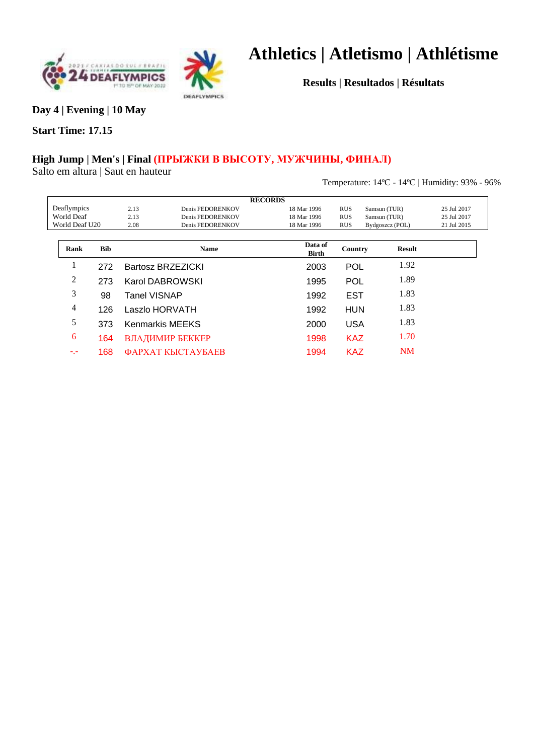



**Results | Resultados | Résultats**

**Day 4 | Evening | 10 May**

### **Start Time: 17.15**

### **High Jump | Men's | Final (ПРЫЖКИ В ВЫСОТУ, МУЖЧИНЫ, ФИНАЛ)**

Salto em altura | Saut en hauteur

Temperature: 14ºC - 14ºC | Humidity: 93% - 96%

|                |             |            |              |                                        | <b>RECORDS</b>          |            |                 |               |             |
|----------------|-------------|------------|--------------|----------------------------------------|-------------------------|------------|-----------------|---------------|-------------|
|                |             |            |              |                                        |                         |            |                 |               |             |
|                | Deaflympics |            | 2.13         | Denis FEDORENKOV                       | 18 Mar 1996             | <b>RUS</b> | Samsun (TUR)    |               | 25 Jul 2017 |
| World Deaf     |             |            | 2.13         | Denis FEDORENKOV                       | 18 Mar 1996             | <b>RUS</b> | Samsun (TUR)    |               | 25 Jul 2017 |
| World Deaf U20 |             |            | 2.08         | Denis FEDORENKOV                       | 18 Mar 1996             | <b>RUS</b> | Bydgoszcz (POL) |               | 21 Jul 2015 |
|                |             |            |              |                                        |                         |            |                 |               |             |
|                | Rank        | <b>Bib</b> |              | <b>Name</b>                            | Data of<br><b>Birth</b> | Country    |                 | <b>Result</b> |             |
|                |             | 272        |              | Bartosz BRZEZICKI                      | 2003                    | POL        |                 | 1.92          |             |
|                | 2           | 273        |              | Karol DABROWSKI                        | 1995                    | POL        |                 | 1.89          |             |
|                | 3           | 98         | Tanel VISNAP |                                        | 1992                    | <b>EST</b> |                 | 1.83          |             |
|                | 4           | 126        |              | Laszlo HORVATH                         | 1992                    | <b>HUN</b> |                 | 1.83          |             |
|                | 5           | 373        |              | <b>Kenmarkis MEEKS</b>                 | 2000                    | <b>USA</b> |                 | 1.83          |             |
|                | 6           | 164        |              | ВЛАДИМИР БЕККЕР                        | 1998                    | <b>KAZ</b> |                 | 1.70          |             |
|                | ۳.۶         | 168        |              | <b><i><u>ФАРХАТ КЫСТАУБАЕВ</u></i></b> | 1994                    | <b>KAZ</b> |                 | <b>NM</b>     |             |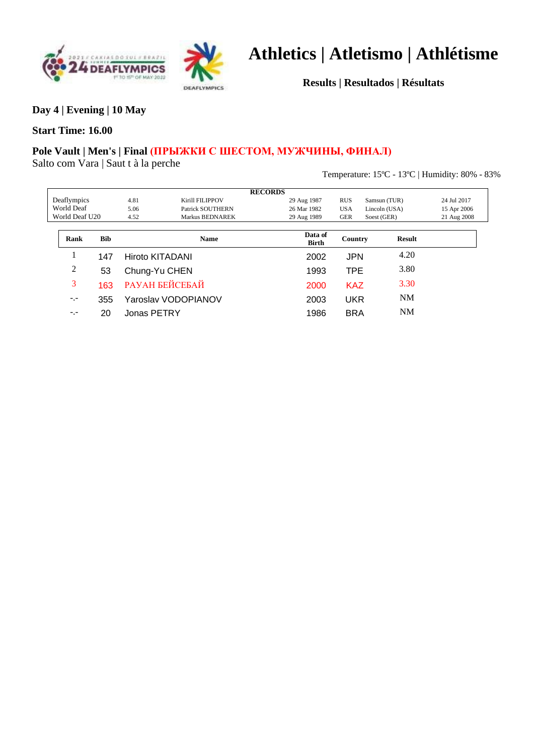



**Results | Resultados | Résultats**

**Day 4 | Evening | 10 May**

#### **Start Time: 16.00**

### **Pole Vault | Men's | Final (ПРЫЖКИ С ШЕСТОМ, МУЖЧИНЫ, ФИНАЛ)**

Salto com Vara | Saut t à la perche

Temperature: 15ºC - 13ºC | Humidity: 80% - 83%

|            |                |            |                 |                        | <b>RECORDS</b>          |            |               |             |
|------------|----------------|------------|-----------------|------------------------|-------------------------|------------|---------------|-------------|
|            | Deaflympics    |            | 4.81            | <b>Kirill FILIPPOV</b> | 29 Aug 1987             | <b>RUS</b> | Samsun (TUR)  | 24 Jul 2017 |
| World Deaf |                |            | 5.06            | Patrick SOUTHERN       | 26 Mar 1982             | <b>USA</b> | Lincoln (USA) | 15 Apr 2006 |
|            | World Deaf U20 |            | 4.52            | Markus BEDNAREK        | 29 Aug 1989             | <b>GER</b> | Soest (GER)   | 21 Aug 2008 |
|            |                |            |                 |                        |                         |            |               |             |
|            | Rank           | <b>Bib</b> |                 | <b>Name</b>            | Data of<br><b>Birth</b> | Country    | <b>Result</b> |             |
|            |                | 147        | Hiroto KITADANI |                        | 2002                    | <b>JPN</b> | 4.20          |             |
|            | 2              | 53         | Chung-Yu CHEN   |                        | 1993                    | TPE        | 3.80          |             |
|            | 3              | 163        |                 | <b>РАУАН БЕЙСЕБАЙ</b>  | 2000                    | <b>KAZ</b> | 3.30          |             |
|            | $-1$           | 355        |                 | Yaroslav VODOPIANOV    | 2003                    | <b>UKR</b> | <b>NM</b>     |             |
|            | $-1 -$         | 20         | Jonas PETRY     |                        | 1986                    | <b>BRA</b> | <b>NM</b>     |             |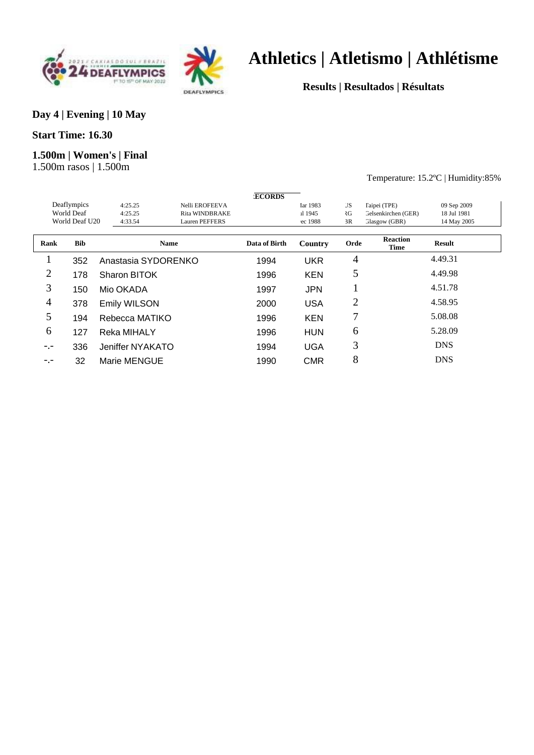



**Results | Resultados | Résultats**

#### **Day 4 | Evening | 10 May**

#### **Start Time: 16.30**

### **1.500m | Women's | Final**

1.500m rasos | 1.500m

#### Temperature: 15.2ºC | Humidity:85%

|        |                |                     |                       | <b>ECORDS</b> |            |           |                                |             |  |
|--------|----------------|---------------------|-----------------------|---------------|------------|-----------|--------------------------------|-------------|--|
|        | Deaflympics    | 4:25.25             | Nelli EROFEEVA        |               | Iar 1983   | <b>JS</b> | Taipei (TPE)                   | 09 Sep 2009 |  |
|        | World Deaf     | 4:25.25             | <b>Rita WINDBRAKE</b> |               | il 1945    | ₹G        | Gelsenkirchen (GER)            | 18 Jul 1981 |  |
|        | World Deaf U20 | 4:33.54             | Lauren PEFFERS        |               | ec 1988    | 3R        | Glasgow (GBR)                  | 14 May 2005 |  |
|        |                |                     |                       |               |            |           |                                |             |  |
| Rank   | <b>Bib</b>     |                     | <b>Name</b>           | Data of Birth | Country    | Orde      | <b>Reaction</b><br><b>Time</b> | Result      |  |
|        | 352            | Anastasia SYDORENKO |                       | 1994          | <b>UKR</b> | 4         |                                | 4.49.31     |  |
| 2      | 178            | Sharon BITOK        |                       | 1996          | <b>KEN</b> | 5         |                                | 4.49.98     |  |
| 3      | 150            | Mio OKADA           |                       | 1997          | <b>JPN</b> |           |                                | 4.51.78     |  |
| 4      | 378            | Emily WILSON        |                       | 2000          | <b>USA</b> | 2         |                                | 4.58.95     |  |
| 5      | 194            | Rebecca MATIKO      |                       | 1996          | <b>KEN</b> | 7         |                                | 5.08.08     |  |
| 6      | 127            | Reka MIHALY         |                       | 1996          | <b>HUN</b> | 6         |                                | 5.28.09     |  |
| $-1 -$ | 336            | Jeniffer NYAKATO    |                       | 1994          | <b>UGA</b> | 3         |                                | <b>DNS</b>  |  |
| $-1 -$ | 32             | Marie MENGUE        |                       | 1990          | <b>CMR</b> | 8         |                                | <b>DNS</b>  |  |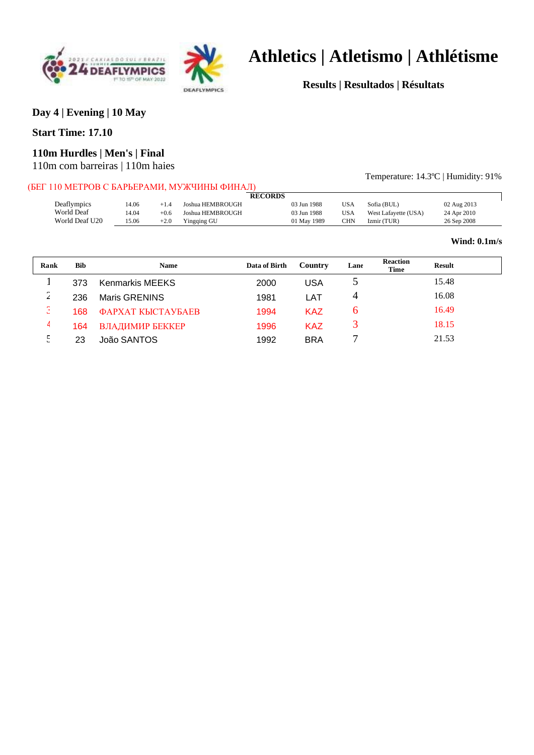



**Results | Resultados | Résultats**

### **Day 4 | Evening | 10 May**

#### **Start Time: 17.10**

#### **110m Hurdles | Men's | Final**

110m com barreiras | 110m haies

#### (БЕГ 110 МЕТРОВ С БАРЬЕРАМИ, МУЖЧИНЫ ФИНАЛ)

Temperature: 14.3ºC | Humidity: 91%

| ет тто иетт ор с ран реганит, но лучши тано тан |       |        |                  |                |             |            |                      |             |
|-------------------------------------------------|-------|--------|------------------|----------------|-------------|------------|----------------------|-------------|
|                                                 |       |        |                  | <b>RECORDS</b> |             |            |                      |             |
| Deaflympics                                     | 14.06 | $+1.4$ | Joshua HEMBROUGH |                | 03 Jun 1988 | <b>USA</b> | Sofia (BUL)          | 02 Aug 2013 |
| World Deaf                                      | 14.04 | $+0.6$ | Joshua HEMBROUGH |                | 03 Jun 1988 | <b>USA</b> | West Lafayette (USA) | 24 Apr 2010 |
| World Deaf U20                                  | 15.06 | $+2.0$ | Yingqing GU      |                | 01 May 1989 | CHN        | Izmir (TUR)          | 26 Sep 2008 |
|                                                 |       |        |                  |                |             |            |                      |             |

#### **Wind: 0.1m/s**

| Rank       | <b>Bib</b> | <b>Name</b>              | Data of Birth | Country    | Lane | <b>Reaction</b><br><b>Result</b><br><b>Time</b> |
|------------|------------|--------------------------|---------------|------------|------|-------------------------------------------------|
|            | 373        | <b>Kenmarkis MEEKS</b>   | 2000          | USA        |      | 15.48                                           |
| $\sqrt{2}$ | 236        | Maris GRENINS            | 1981          | LAT        |      | 16.08                                           |
| р<br>ت     | 168        | <b>ФАРХАТ КЫСТАУБАЕВ</b> | 1994          | <b>KAZ</b> | h    | 16.49                                           |
| 4          | 164        | ВЛАДИМИР БЕККЕР          | 1996          | <b>KAZ</b> |      | 18.15                                           |
| 5<br>ت     | 23         | João SANTOS              | 1992          | <b>BRA</b> |      | 21.53                                           |